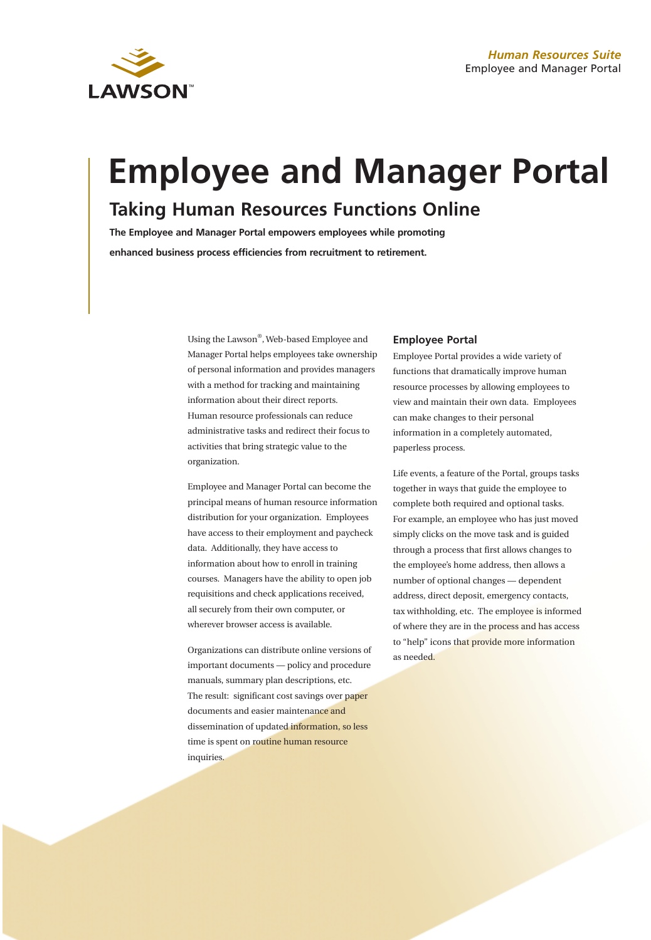

# **Employee and Manager Portal Taking Human Resources Functions Online**

**The Employee and Manager Portal empowers employees while promoting enhanced business process efficiencies from recruitment to retirement.**

> Using the Lawson®, Web-based Employee and Manager Portal helps employees take ownership of personal information and provides managers with a method for tracking and maintaining information about their direct reports. Human resource professionals can reduce administrative tasks and redirect their focus to activities that bring strategic value to the organization.

> Employee and Manager Portal can become the principal means of human resource information distribution for your organization. Employees have access to their employment and paycheck data. Additionally, they have access to information about how to enroll in training courses. Managers have the ability to open job requisitions and check applications received, all securely from their own computer, or wherever browser access is available.

Organizations can distribute online versions of important documents — policy and procedure manuals, summary plan descriptions, etc. The result: significant cost savings over paper documents and easier maintenance and dissemination of updated information, so less time is spent on routine human resource inquiries.

## **Employee Portal**

Employee Portal provides a wide variety of functions that dramatically improve human resource processes by allowing employees to view and maintain their own data. Employees can make changes to their personal information in a completely automated, paperless process.

Life events, a feature of the Portal, groups tasks together in ways that guide the employee to complete both required and optional tasks. For example, an employee who has just moved simply clicks on the move task and is guided through a process that first allows changes to the employee's home address, then allows a number of optional changes — dependent address, direct deposit, emergency contacts, tax withholding, etc. The employee is informed of where they are in the process and has access to "help" icons that provide more information as needed.